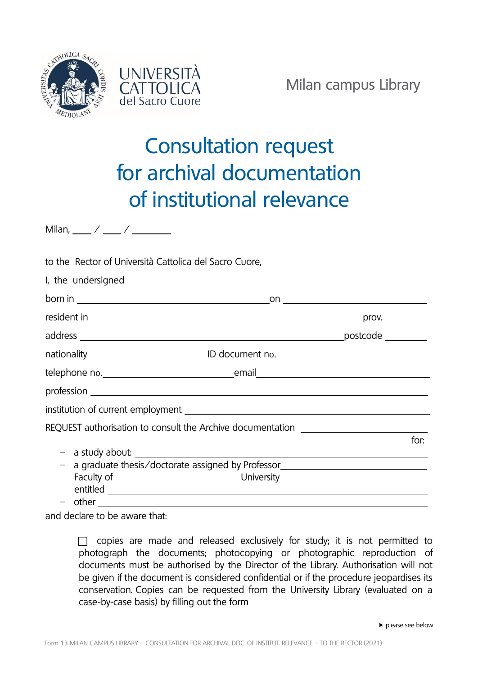



## Consultation request for archival documentation of institutional relevance

Milan, / /

to the Rector of Università Cattolica del Sacro Cuore,

| nationality _________________________________ID document no. ____________________ |      |
|-----------------------------------------------------------------------------------|------|
|                                                                                   |      |
|                                                                                   |      |
|                                                                                   |      |
| REQUEST authorisation to consult the Archive documentation _____________________  |      |
|                                                                                   | for: |
| - a graduate thesis/doctorate assigned by Professor_____________________________  |      |
|                                                                                   |      |
|                                                                                   |      |
|                                                                                   |      |

and declare to be aware that:

 $\Box$  copies are made and released exclusively for study; it is not permitted to photograph the documents; photocopying or photographic reproduction of documents must be authorised by the Director of the Library. Authorisation will not be given if the document is considered confidential or if the procedure jeopardises its conservation. Copies can be requested from the University Library (evaluated on a case-by-case basis) by filling out the form